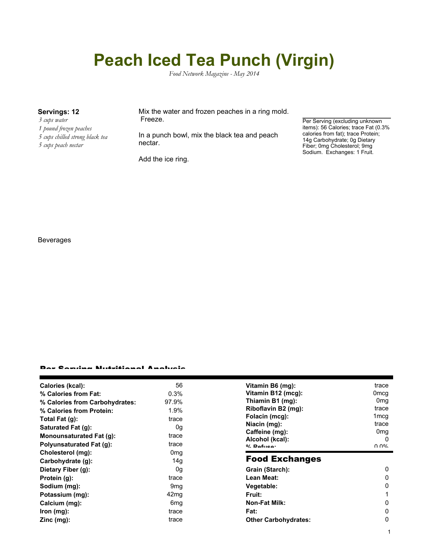# **Peach Iced Tea Punch (Virgin)**

*Food Network Magazine - May 2014*

- *3 cups water*
- *1 pound frozen peaches*
- *5 cups chilled strong black tea*
- *5 cups peach nectar*

### **Servings: 12** Mix the water and frozen peaches in a ring mold. Freeze.

In a punch bowl, mix the black tea and peach nectar.

Add the ice ring.

Per Serving (excluding unknown items): 56 Calories; trace Fat (0.3% calories from fat); trace Protein; 14g Carbohydrate; 0g Dietary Fiber; 0mg Cholesterol; 9mg Sodium. Exchanges: 1 Fruit.

#### Beverages

#### Per Serving Nutritional Analysis

| Calories (kcal):                | 56               | Vitamin B6 (mg):                  | trace            |
|---------------------------------|------------------|-----------------------------------|------------------|
| % Calories from Fat:            | 0.3%             | Vitamin B12 (mcg):                | 0mcg             |
| % Calories from Carbohydrates:  | 97.9%            | Thiamin B1 (mg):                  | 0 <sub>mq</sub>  |
| % Calories from Protein:        | 1.9%             | Riboflavin B2 (mg):               | trace            |
| Total Fat (g):                  | trace            | Folacin (mcg):                    | 1 <sub>mcq</sub> |
| Saturated Fat (g):              | 0g               | Niacin (mg):                      | trace            |
| Monounsaturated Fat (g):        | trace            | Caffeine (mg):                    | 0 <sub>mg</sub>  |
| <b>Polyunsaturated Fat (g):</b> | trace            | Alcohol (kcal):<br>$0/2$ Pofileon | 0<br>በ በ%        |
| Cholesterol (mg):               | 0 <sub>mg</sub>  |                                   |                  |
| Carbohydrate (g):               | 14g              | <b>Food Exchanges</b>             |                  |
| Dietary Fiber (g):              | 0g               | Grain (Starch):                   | 0                |
| Protein (g):                    | trace            | Lean Meat:                        | 0                |
| Sodium (mg):                    | 9 <sub>mq</sub>  | Vegetable:                        | 0                |
| Potassium (mg):                 | 42 <sub>mq</sub> | <b>Fruit:</b>                     |                  |
| Calcium (mg):                   | 6mg              | <b>Non-Fat Milk:</b>              | 0                |
|                                 |                  |                                   |                  |
| lron (mg):                      | trace            | Fat:                              | 0                |